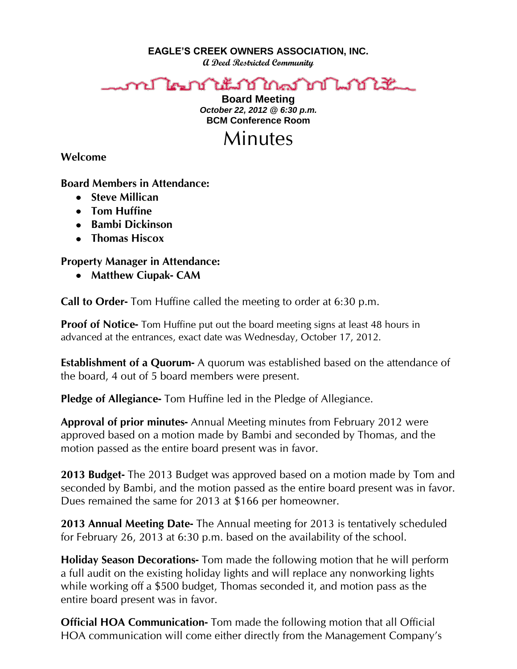**EAGLE'S CREEK OWNERS ASSOCIATION, INC.**

**A Deed Restricted Community**

## ทปไตกในนักใหญ่ ที <u>LAA ¥</u>

**Board Meeting** *October 22, 2012 @ 6:30 p.m.* **BCM Conference Room**

## Minutes

**Welcome** 

## **Board Members in Attendance:**

- **Steve Millican**
- **Tom Huffine**
- **Bambi Dickinson**
- **Thomas Hiscox**

## **Property Manager in Attendance:**

**Matthew Ciupak- CAM**

**Call to Order-** Tom Huffine called the meeting to order at 6:30 p.m.

**Proof of Notice-** Tom Huffine put out the board meeting signs at least 48 hours in advanced at the entrances, exact date was Wednesday, October 17, 2012.

**Establishment of a Quorum-** A quorum was established based on the attendance of the board, 4 out of 5 board members were present.

**Pledge of Allegiance-** Tom Huffine led in the Pledge of Allegiance.

**Approval of prior minutes-** Annual Meeting minutes from February 2012 were approved based on a motion made by Bambi and seconded by Thomas, and the motion passed as the entire board present was in favor.

**2013 Budget-** The 2013 Budget was approved based on a motion made by Tom and seconded by Bambi, and the motion passed as the entire board present was in favor. Dues remained the same for 2013 at \$166 per homeowner.

**2013 Annual Meeting Date-** The Annual meeting for 2013 is tentatively scheduled for February 26, 2013 at 6:30 p.m. based on the availability of the school.

**Holiday Season Decorations-** Tom made the following motion that he will perform a full audit on the existing holiday lights and will replace any nonworking lights while working off a \$500 budget, Thomas seconded it, and motion pass as the entire board present was in favor.

**Official HOA Communication-** Tom made the following motion that all Official HOA communication will come either directly from the Management Company's